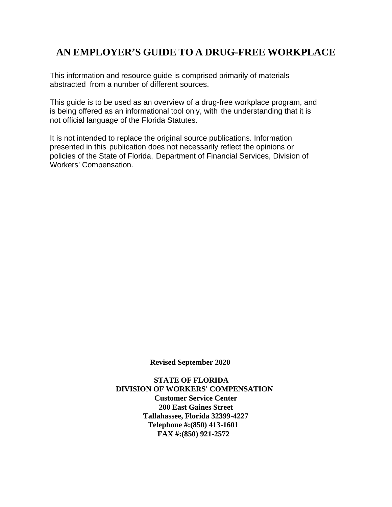# **AN EMPLOYER'S GUIDE TO A DRUG-FREE WORKPLACE**

This information and resource guide is comprised primarily of materials abstracted from a number of different sources.

This guide is to be used as an overview of a drug-free workplace program, and is being offered as an informational tool only, with the understanding that it is not official language of the Florida Statutes.

It is not intended to replace the original source publications. Information presented in this publication does not necessarily reflect the opinions or policies of the State of Florida, Department of Financial Services, Division of Workers' Compensation.

**Revised September 2020**

 **STATE OF FLORIDA DIVISION OF WORKERS' COMPENSATION Customer Service Center 200 East Gaines Street Tallahassee, Florida 32399-4227 Telephone #:(850) 413-1601 FAX #:(850) 921-2572**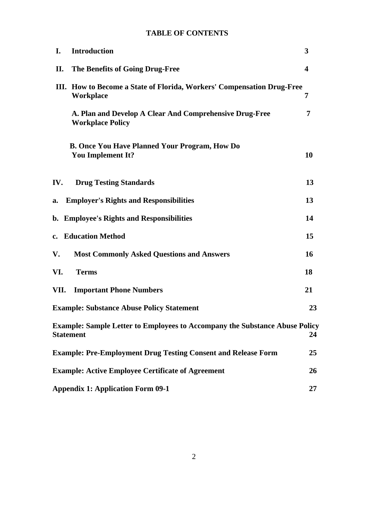## **TABLE OF CONTENTS**

| I.   | <b>Introduction</b>                                                                                    | 3                       |
|------|--------------------------------------------------------------------------------------------------------|-------------------------|
| П.   | The Benefits of Going Drug-Free                                                                        | $\overline{\mathbf{4}}$ |
|      | III. How to Become a State of Florida, Workers' Compensation Drug-Free<br><b>Workplace</b>             | 7                       |
|      | A. Plan and Develop A Clear And Comprehensive Drug-Free<br><b>Workplace Policy</b>                     | 7                       |
|      | <b>B. Once You Have Planned Your Program, How Do</b><br><b>You Implement It?</b>                       | 10                      |
| IV.  | <b>Drug Testing Standards</b>                                                                          | 13                      |
| a.   | <b>Employer's Rights and Responsibilities</b>                                                          | 13                      |
|      | b. Employee's Rights and Responsibilities                                                              | 14                      |
|      | c. Education Method                                                                                    | 15                      |
| V.   | <b>Most Commonly Asked Questions and Answers</b>                                                       | <b>16</b>               |
| VI.  | <b>Terms</b>                                                                                           | 18                      |
| VII. | <b>Important Phone Numbers</b>                                                                         | 21                      |
|      | <b>Example: Substance Abuse Policy Statement</b>                                                       | 23                      |
|      | <b>Example: Sample Letter to Employees to Accompany the Substance Abuse Policy</b><br><b>Statement</b> | 24                      |
|      | <b>Example: Pre-Employment Drug Testing Consent and Release Form</b>                                   | 25                      |
|      | <b>Example: Active Employee Certificate of Agreement</b>                                               | 26                      |
|      | <b>Appendix 1: Application Form 09-1</b>                                                               | 27                      |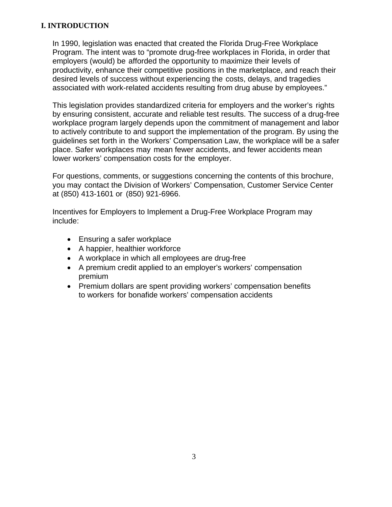#### **I. INTRODUCTION**

In 1990, legislation was enacted that created the Florida Drug-Free Workplace Program. The intent was to "promote drug-free workplaces in Florida, in order that employers (would) be afforded the opportunity to maximize their levels of productivity, enhance their competitive positions in the marketplace, and reach their desired levels of success without experiencing the costs, delays, and tragedies associated with work-related accidents resulting from drug abuse by employees."

This legislation provides standardized criteria for employers and the worker's rights by ensuring consistent, accurate and reliable test results. The success of a drug-free workplace program largely depends upon the commitment of management and labor to actively contribute to and support the implementation of the program. By using the guidelines set forth in the Workers' Compensation Law, the workplace will be a safer place. Safer workplaces may mean fewer accidents, and fewer accidents mean lower workers' compensation costs for the employer.

For questions, comments, or suggestions concerning the contents of this brochure, you may contact the Division of Workers' Compensation, Customer Service Center at (850) 413-1601 or (850) 921-6966.

Incentives for Employers to Implement a Drug-Free Workplace Program may include:

- Ensuring a safer workplace
- A happier, healthier workforce
- A workplace in which all employees are drug-free
- A premium credit applied to an employer's workers' compensation premium
- Premium dollars are spent providing workers' compensation benefits to workers for bonafide workers' compensation accidents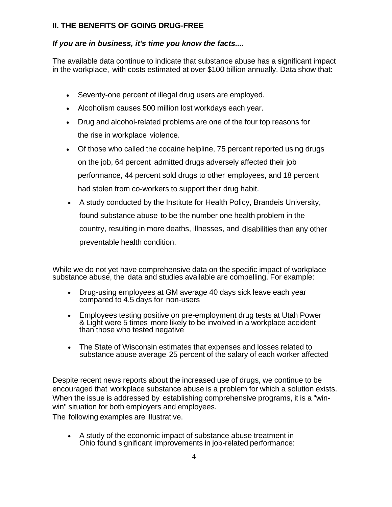### **II. THE BENEFITS OF GOING DRUG-FREE**

## *If you are in business, it's time you know the facts....*

The available data continue to indicate that substance abuse has a significant impact in the workplace, with costs estimated at over \$100 billion annually. Data show that:

- Seventy-one percent of illegal drug users are employed.
- Alcoholism causes 500 million lost workdays each year.
- Drug and alcohol-related problems are one of the four top reasons for the rise in workplace violence.
- Of those who called the cocaine helpline, 75 percent reported using drugs on the job, 64 percent admitted drugs adversely affected their job performance, 44 percent sold drugs to other employees, and 18 percent had stolen from co-workers to support their drug habit.
- A study conducted by the Institute for Health Policy, Brandeis University, found substance abuse to be the number one health problem in the country, resulting in more deaths, illnesses, and disabilities than any other preventable health condition.

While we do not yet have comprehensive data on the specific impact of workplace substance abuse, the data and studies available are compelling. For example:

- Drug-using employees at GM average 40 days sick leave each year compared to 4.5 days for non-users
- Employees testing positive on pre-employment drug tests at Utah Power & Light were 5 times more likely to be involved in a workplace accident than those who tested negative
- The State of Wisconsin estimates that expenses and losses related to substance abuse average 25 percent of the salary of each worker affected

Despite recent news reports about the increased use of drugs, we continue to be encouraged that workplace substance abuse is a problem for which a solution exists. When the issue is addressed by establishing comprehensive programs, it is a "winwin" situation for both employers and employees.

The following examples are illustrative.

• A study of the economic impact of substance abuse treatment in Ohio found significant improvements in job-related performance: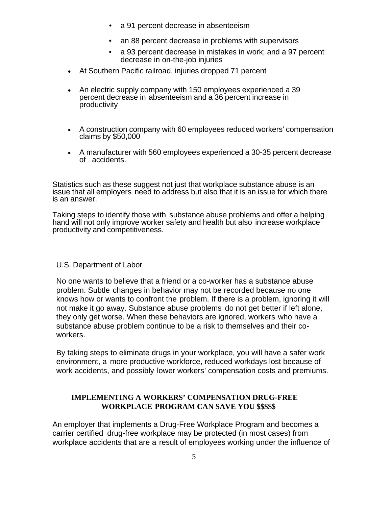- a 91 percent decrease in absenteeism
- an 88 percent decrease in problems with supervisors
- a 93 percent decrease in mistakes in work; and a 97 percent decrease in on-the-job injuries
- At Southern Pacific railroad, injuries dropped 71 percent
- An electric supply company with 150 employees experienced a 39 percent decrease in absenteeism and a 36 percent increase in productivity
- A construction company with 60 employees reduced workers' compensation claims by \$50,000
- A manufacturer with 560 employees experienced a 30-35 percent decrease of accidents.

Statistics such as these suggest not just that workplace substance abuse is an issue that all employers need to address but also that it is an issue for which there is an answer.

Taking steps to identify those with substance abuse problems and offer a helping hand will not only improve worker safety and health but also increase workplace productivity and competitiveness.

#### U.S. Department of Labor

No one wants to believe that a friend or a co-worker has a substance abuse problem. Subtle changes in behavior may not be recorded because no one knows how or wants to confront the problem. If there is a problem, ignoring it will not make it go away. Substance abuse problems do not get better if left alone, they only get worse. When these behaviors are ignored, workers who have a substance abuse problem continue to be a risk to themselves and their coworkers.

By taking steps to eliminate drugs in your workplace, you will have a safer work environment, a more productive workforce, reduced workdays lost because of work accidents, and possibly lower workers' compensation costs and premiums.

#### **IMPLEMENTING A WORKERS' COMPENSATION DRUG-FREE WORKPLACE PROGRAM CAN SAVE YOU \$\$\$\$\$**

An employer that implements a Drug-Free Workplace Program and becomes a carrier certified drug-free workplace may be protected (in most cases) from workplace accidents that are a result of employees working under the influence of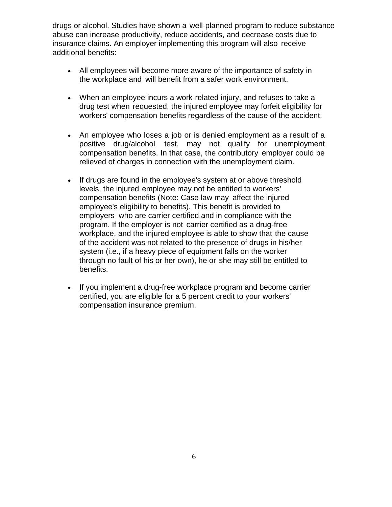drugs or alcohol. Studies have shown a well-planned program to reduce substance abuse can increase productivity, reduce accidents, and decrease costs due to insurance claims. An employer implementing this program will also receive additional benefits:

- All employees will become more aware of the importance of safety in the workplace and will benefit from a safer work environment.
- When an employee incurs a work-related injury, and refuses to take a drug test when requested, the injured employee may forfeit eligibility for workers' compensation benefits regardless of the cause of the accident.
- An employee who loses a job or is denied employment as a result of a positive drug/alcohol test, may not qualify for unemployment compensation benefits. In that case, the contributory employer could be relieved of charges in connection with the unemployment claim.
- If drugs are found in the employee's system at or above threshold levels, the injured employee may not be entitled to workers' compensation benefits (Note: Case law may affect the injured employee's eligibility to benefits). This benefit is provided to employers who are carrier certified and in compliance with the program. If the employer is not carrier certified as a drug-free workplace, and the injured employee is able to show that the cause of the accident was not related to the presence of drugs in his/her system (i.e., if a heavy piece of equipment falls on the worker through no fault of his or her own), he or she may still be entitled to benefits.
- If you implement a drug-free workplace program and become carrier certified, you are eligible for a 5 percent credit to your workers' compensation insurance premium.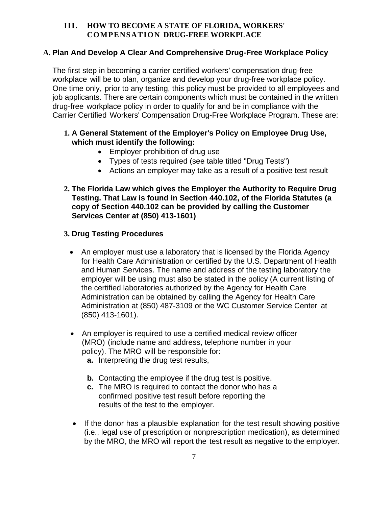#### **III. HOW TO BECOME A STATE OF FLORIDA, WORKERS' COMPENSATION DRUG-FREE WORKPLACE**

#### **A. Plan And Develop A Clear And Comprehensive Drug-Free Workplace Policy**

The first step in becoming a carrier certified workers' compensation drug-free workplace will be to plan, organize and develop your drug-free workplace policy. One time only, prior to any testing, this policy must be provided to all employees and job applicants. There are certain components which must be contained in the written drug-free workplace policy in order to qualify for and be in compliance with the Carrier Certified Workers' Compensation Drug-Free Workplace Program. These are:

#### **1. A General Statement of the Employer's Policy on Employee Drug Use, which must identify the following:**

- Employer prohibition of drug use
- Types of tests required (see table titled "Drug Tests")
- Actions an employer may take as a result of a positive test result
- **2. The Florida Law which gives the Employer the Authority to Require Drug Testing. That Law is found in Section 440.102, of the Florida Statutes (a copy of Section 440.102 can be provided by calling the Customer Services Center at (850) 413-1601)**

#### **3. Drug Testing Procedures**

- An employer must use a laboratory that is licensed by the Florida Agency for Health Care Administration or certified by the U.S. Department of Health and Human Services. The name and address of the testing laboratory the employer will be using must also be stated in the policy (A current listing of the certified laboratories authorized by the Agency for Health Care Administration can be obtained by calling the Agency for Health Care Administration at (850) 487-3109 or the WC Customer Service Center at (850) 413-1601).
- An employer is required to use a certified medical review officer (MRO) (include name and address, telephone number in your policy). The MRO will be responsible for:
	- **a.** Interpreting the drug test results,
	- **b.** Contacting the employee if the drug test is positive.
	- **c.** The MRO is required to contact the donor who has a confirmed positive test result before reporting the results of the test to the employer.
- If the donor has a plausible explanation for the test result showing positive (i.e., legal use of prescription or nonprescription medication), as determined by the MRO, the MRO will report the test result as negative to the employer.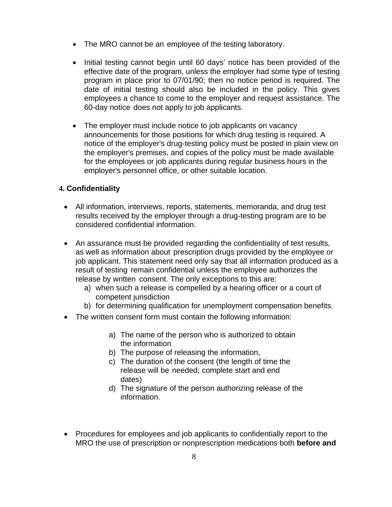- The MRO cannot be an employee of the testing laboratory.
- Initial testing cannot begin until 60 days' notice has been provided of the effective date of the program, unless the employer had some type of testing program in place prior to 07/01/90; then no notice period is required. The date of initial testing should also be included in the policy. This gives employees a chance to come to the employer and request assistance. The 60-day notice does not apply to job applicants.
- The employer must include notice to job applicants on vacancy announcements for those positions for which drug testing is required. A notice of the employer's drug-testing policy must be posted in plain view on the employer's premises, and copies of the policy must be made available for the employees or job applicants during regular business hours in the employer's personnel office, or other suitable location.

### **4. Confidentiality**

- All information, interviews, reports, statements, memoranda, and drug test results received by the employer through a drug-testing program are to be considered confidential information.
- An assurance must be provided regarding the confidentiality of test results, as well as information about prescription drugs provided by the employee or job applicant. This statement need only say that all information produced as a result of testing remain confidential unless the employee authorizes the release by written consent. The only exceptions to this are:
	- a) when such a release is compelled by a hearing officer or a court of competent jurisdiction
	- b) for determining qualification for unemployment compensation benefits.
- The written consent form must contain the following information:
	- a) The name of the person who is authorized to obtain the information
	- b) The purpose of releasing the information,
	- c) The duration of the consent (the length of time the release will be needed; complete start and end dates)
	- d) The signature of the person authorizing release of the information.
- Procedures for employees and job applicants to confidentially report to the MRO the use of prescription or nonprescription medications both **before and**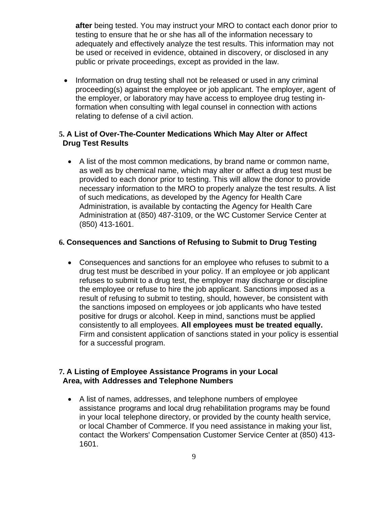**after** being tested. You may instruct your MRO to contact each donor prior to testing to ensure that he or she has all of the information necessary to adequately and effectively analyze the test results. This information may not be used or received in evidence, obtained in discovery, or disclosed in any public or private proceedings, except as provided in the law.

• Information on drug testing shall not be released or used in any criminal proceeding(s) against the employee or job applicant. The employer, agent of the employer, or laboratory may have access to employee drug testing information when consulting with legal counsel in connection with actions relating to defense of a civil action.

#### **5. A List of Over-The-Counter Medications Which May Alter or Affect Drug Test Results**

• A list of the most common medications, by brand name or common name, as well as by chemical name, which may alter or affect a drug test must be provided to each donor prior to testing. This will allow the donor to provide necessary information to the MRO to properly analyze the test results. A list of such medications, as developed by the Agency for Health Care Administration, is available by contacting the Agency for Health Care Administration at (850) 487-3109, or the WC Customer Service Center at (850) 413-1601.

#### **6. Consequences and Sanctions of Refusing to Submit to Drug Testing**

• Consequences and sanctions for an employee who refuses to submit to a drug test must be described in your policy. If an employee or job applicant refuses to submit to a drug test, the employer may discharge or discipline the employee or refuse to hire the job applicant. Sanctions imposed as a result of refusing to submit to testing, should, however, be consistent with the sanctions imposed on employees or job applicants who have tested positive for drugs or alcohol. Keep in mind, sanctions must be applied consistently to all employees. **All employees must be treated equally.**  Firm and consistent application of sanctions stated in your policy is essential for a successful program.

#### **7. A Listing of Employee Assistance Programs in your Local Area, with Addresses and Telephone Numbers**

• A list of names, addresses, and telephone numbers of employee assistance programs and local drug rehabilitation programs may be found in your local telephone directory, or provided by the county health service, or local Chamber of Commerce. If you need assistance in making your list, contact the Workers' Compensation Customer Service Center at (850) 413- 1601.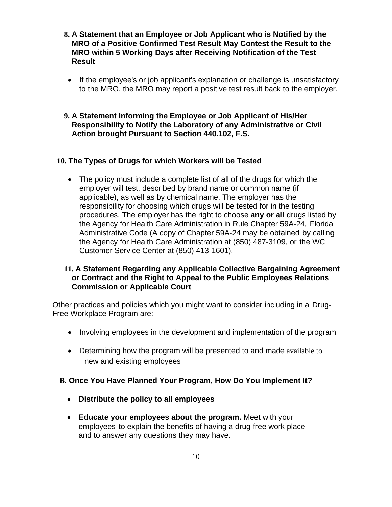- **8. A Statement that an Employee or Job Applicant who is Notified by the MRO of a Positive Confirmed Test Result May Contest the Result to the MRO within 5 Working Days after Receiving Notification of the Test Result**
	- If the employee's or job applicant's explanation or challenge is unsatisfactory to the MRO, the MRO may report a positive test result back to the employer.
- **9. A Statement Informing the Employee or Job Applicant of His/Her Responsibility to Notify the Laboratory of any Administrative or Civil Action brought Pursuant to Section 440.102, F.S.**

#### **10. The Types of Drugs for which Workers will be Tested**

• The policy must include a complete list of all of the drugs for which the employer will test, described by brand name or common name (if applicable), as well as by chemical name. The employer has the responsibility for choosing which drugs will be tested for in the testing procedures. The employer has the right to choose **any or all** drugs listed by the Agency for Health Care Administration in Rule Chapter 59A-24, Florida Administrative Code (A copy of Chapter 59A-24 may be obtained by calling the Agency for Health Care Administration at (850) 487-3109, or the WC Customer Service Center at (850) 413-1601).

### **11. A Statement Regarding any Applicable Collective Bargaining Agreement or Contract and the Right to Appeal to the Public Employees Relations Commission or Applicable Court**

Other practices and policies which you might want to consider including in a Drug-Free Workplace Program are:

- Involving employees in the development and implementation of the program
- Determining how the program will be presented to and made available to new and existing employees

#### **B. Once You Have Planned Your Program, How Do You Implement It?**

- **Distribute the policy to all employees**
- **Educate your employees about the program.** Meet with your employees to explain the benefits of having a drug-free work place and to answer any questions they may have.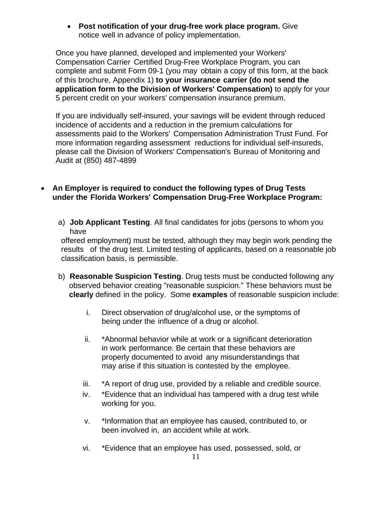• **Post notification of your drug-free work place program.** Give notice well in advance of policy implementation.

Once you have planned, developed and implemented your Workers' Compensation Carrier Certified Drug-Free Workplace Program, you can complete and submit Form 09-1 (you may obtain a copy of this form, at the back of this brochure, Appendix 1) **to your insurance carrier (do not send the application form to the Division of Workers' Compensation)** to apply for your 5 percent credit on your workers' compensation insurance premium.

If you are individually self-insured, your savings will be evident through reduced incidence of accidents and a reduction in the premium calculations for assessments paid to the Workers' Compensation Administration Trust Fund. For more information regarding assessment reductions for individual self-insureds, please call the Division of Workers' Compensation's Bureau of Monitoring and Audit at (850) 487-4899

- **An Employer is required to conduct the following types of Drug Tests under the Florida Workers' Compensation Drug-Free Workplace Program:**
	- a) **Job Applicant Testing**. All final candidates for jobs (persons to whom you have

offered employment) must be tested, although they may begin work pending the results of the drug test. Limited testing of applicants, based on a reasonable job classification basis, is permissible.

- b) **Reasonable Suspicion Testing**. Drug tests must be conducted following any observed behavior creating "reasonable suspicion." These behaviors must be **clearly** defined in the policy. Some **examples** of reasonable suspicion include:
	- i. Direct observation of drug/alcohol use, or the symptoms of being under the influence of a drug or alcohol.
	- ii. \*Abnormal behavior while at work or a significant deterioration in work performance. Be certain that these behaviors are properly documented to avoid any misunderstandings that may arise if this situation is contested by the employee.
	- iii. \*A report of drug use, provided by a reliable and credible source.
	- iv. \*Evidence that an individual has tampered with a drug test while working for you.
	- v. \*Information that an employee has caused, contributed to, or been involved in, an accident while at work.
	- vi. \*Evidence that an employee has used, possessed, sold, or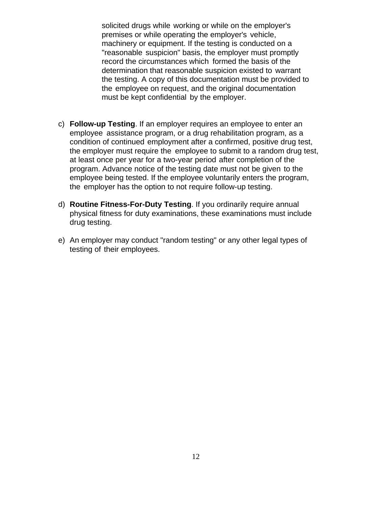solicited drugs while working or while on the employer's premises or while operating the employer's vehicle, machinery or equipment. If the testing is conducted on a "reasonable suspicion" basis, the employer must promptly record the circumstances which formed the basis of the determination that reasonable suspicion existed to warrant the testing. A copy of this documentation must be provided to the employee on request, and the original documentation must be kept confidential by the employer.

- c) **Follow-up Testing**. If an employer requires an employee to enter an employee assistance program, or a drug rehabilitation program, as a condition of continued employment after a confirmed, positive drug test, the employer must require the employee to submit to a random drug test, at least once per year for a two-year period after completion of the program. Advance notice of the testing date must not be given to the employee being tested. If the employee voluntarily enters the program, the employer has the option to not require follow-up testing.
- d) **Routine Fitness-For-Duty Testing**. If you ordinarily require annual physical fitness for duty examinations, these examinations must include drug testing.
- e) An employer may conduct "random testing" or any other legal types of testing of their employees.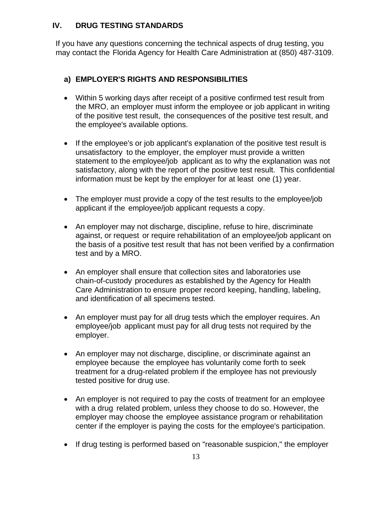### **IV. DRUG TESTING STANDARDS**

If you have any questions concerning the technical aspects of drug testing, you may contact the Florida Agency for Health Care Administration at (850) 487-3109.

### **a) EMPLOYER'S RIGHTS AND RESPONSIBILITIES**

- Within 5 working days after receipt of a positive confirmed test result from the MRO, an employer must inform the employee or job applicant in writing of the positive test result, the consequences of the positive test result, and the employee's available options.
- If the employee's or job applicant's explanation of the positive test result is unsatisfactory to the employer, the employer must provide a written statement to the employee/job applicant as to why the explanation was not satisfactory, along with the report of the positive test result. This confidential information must be kept by the employer for at least one (1) year.
- The employer must provide a copy of the test results to the employee/job applicant if the employee/job applicant requests a copy.
- An employer may not discharge, discipline, refuse to hire, discriminate against, or request or require rehabilitation of an employee/job applicant on the basis of a positive test result that has not been verified by a confirmation test and by a MRO.
- An employer shall ensure that collection sites and laboratories use chain-of-custody procedures as established by the Agency for Health Care Administration to ensure proper record keeping, handling, labeling, and identification of all specimens tested.
- An employer must pay for all drug tests which the employer requires. An employee/job applicant must pay for all drug tests not required by the employer.
- An employer may not discharge, discipline, or discriminate against an employee because the employee has voluntarily come forth to seek treatment for a drug-related problem if the employee has not previously tested positive for drug use.
- An employer is not required to pay the costs of treatment for an employee with a drug related problem, unless they choose to do so. However, the employer may choose the employee assistance program or rehabilitation center if the employer is paying the costs for the employee's participation.
- If drug testing is performed based on "reasonable suspicion," the employer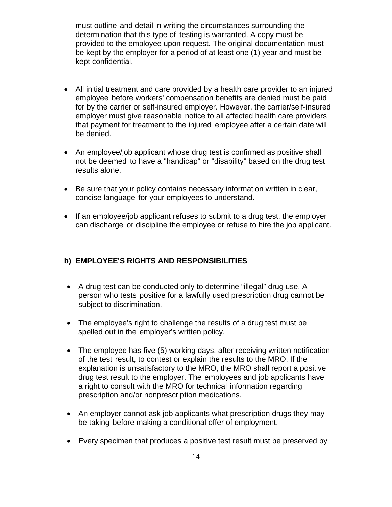must outline and detail in writing the circumstances surrounding the determination that this type of testing is warranted. A copy must be provided to the employee upon request. The original documentation must be kept by the employer for a period of at least one (1) year and must be kept confidential.

- All initial treatment and care provided by a health care provider to an injured employee before workers' compensation benefits are denied must be paid for by the carrier or self-insured employer. However, the carrier/self-insured employer must give reasonable notice to all affected health care providers that payment for treatment to the injured employee after a certain date will be denied.
- An employee/job applicant whose drug test is confirmed as positive shall not be deemed to have a "handicap" or "disability" based on the drug test results alone.
- Be sure that your policy contains necessary information written in clear, concise language for your employees to understand.
- If an employee/job applicant refuses to submit to a drug test, the employer can discharge or discipline the employee or refuse to hire the job applicant.

#### **b) EMPLOYEE'S RIGHTS AND RESPONSIBILITIES**

- A drug test can be conducted only to determine "illegal" drug use. A person who tests positive for a lawfully used prescription drug cannot be subject to discrimination.
- The employee's right to challenge the results of a drug test must be spelled out in the employer's written policy.
- The employee has five (5) working days, after receiving written notification of the test result, to contest or explain the results to the MRO. If the explanation is unsatisfactory to the MRO, the MRO shall report a positive drug test result to the employer. The employees and job applicants have a right to consult with the MRO for technical information regarding prescription and/or nonprescription medications.
- An employer cannot ask job applicants what prescription drugs they may be taking before making a conditional offer of employment.
- Every specimen that produces a positive test result must be preserved by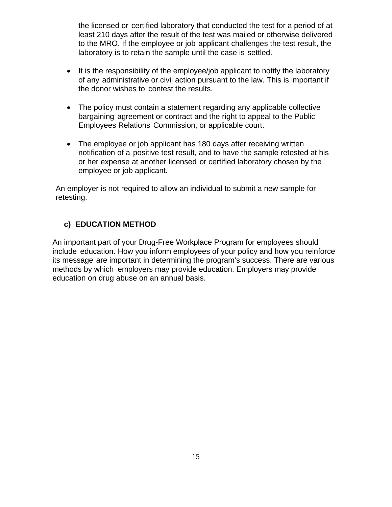the licensed or certified laboratory that conducted the test for a period of at least 210 days after the result of the test was mailed or otherwise delivered to the MRO. If the employee or job applicant challenges the test result, the laboratory is to retain the sample until the case is settled.

- It is the responsibility of the employee/job applicant to notify the laboratory of any administrative or civil action pursuant to the law. This is important if the donor wishes to contest the results.
- The policy must contain a statement regarding any applicable collective bargaining agreement or contract and the right to appeal to the Public Employees Relations Commission, or applicable court.
- The employee or job applicant has 180 days after receiving written notification of a positive test result, and to have the sample retested at his or her expense at another licensed or certified laboratory chosen by the employee or job applicant.

An employer is not required to allow an individual to submit a new sample for retesting.

### **c) EDUCATION METHOD**

An important part of your Drug-Free Workplace Program for employees should include education. How you inform employees of your policy and how you reinforce its message are important in determining the program's success. There are various methods by which employers may provide education. Employers may provide education on drug abuse on an annual basis.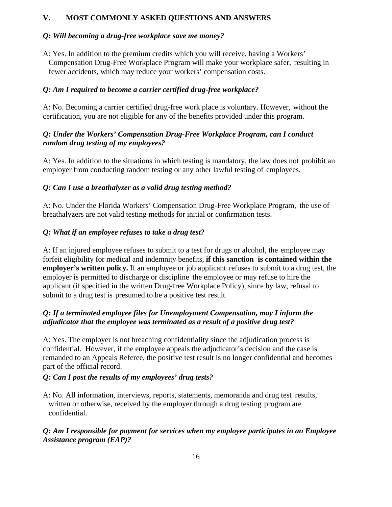#### **V. MOST COMMONLY ASKED QUESTIONS AND ANSWERS**

#### *Q: Will becoming a drug-free workplace save me money?*

A: Yes. In addition to the premium credits which you will receive, having a Workers' Compensation Drug-Free Workplace Program will make your workplace safer, resulting in fewer accidents, which may reduce your workers' compensation costs.

#### *Q: Am I required to become a carrier certified drug-free workplace?*

A: No. Becoming a carrier certified drug-free work place is voluntary. However, without the certification, you are not eligible for any of the benefits provided under this program.

#### *Q: Under the Workers' Compensation Drug-Free Workplace Program, can I conduct random drug testing of my employees?*

A: Yes. In addition to the situations in which testing is mandatory, the law does not prohibit an employer from conducting random testing or any other lawful testing of employees.

#### *Q: Can I use a breathalyzer as a valid drug testing method?*

A: No. Under the Florida Workers' Compensation Drug-Free Workplace Program, the use of breathalyzers are not valid testing methods for initial or confirmation tests.

#### *Q: What if an employee refuses to take a drug test?*

A: If an injured employee refuses to submit to a test for drugs or alcohol, the employee may forfeit eligibility for medical and indemnity benefits, **if this sanction is contained within the employer's written policy.** If an employee or job applicant refuses to submit to a drug test, the employer is permitted to discharge or discipline the employee or may refuse to hire the applicant (if specified in the written Drug-free Workplace Policy), since by law, refusal to submit to a drug test is presumed to be a positive test result.

#### *Q: If a terminated employee files for Unemployment Compensation, may I inform the adjudicator that the employee was terminated as a result of a positive drug test?*

A: Yes. The employer is not breaching confidentiality since the adjudication process is confidential. However, if the employee appeals the adjudicator's decision and the case is remanded to an Appeals Referee, the positive test result is no longer confidential and becomes part of the official record.

#### *Q: Can I post the results of my employees' drug tests?*

A: No. All information, interviews, reports, statements, memoranda and drug test results, written or otherwise, received by the employer through a drug testing program are confidential.

#### *Q: Am I responsible for payment for services when my employee participates in an Employee Assistance program (EAP)?*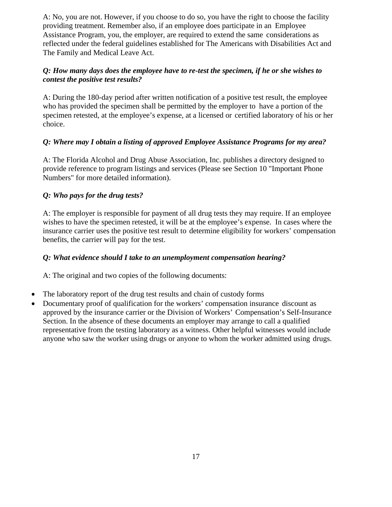A: No, you are not. However, if you choose to do so, you have the right to choose the facility providing treatment. Remember also, if an employee does participate in an Employee Assistance Program, you, the employer, are required to extend the same considerations as reflected under the federal guidelines established for The Americans with Disabilities Act and The Family and Medical Leave Act.

#### *Q: How many days does the employee have to re-test the specimen, if he or she wishes to contest the positive test results?*

A: During the 180-day period after written notification of a positive test result, the employee who has provided the specimen shall be permitted by the employer to have a portion of the specimen retested, at the employee's expense, at a licensed or certified laboratory of his or her choice.

#### *Q: Where may I obtain a listing of approved Employee Assistance Programs for my area?*

A: The Florida Alcohol and Drug Abuse Association, Inc. publishes a directory designed to provide reference to program listings and services (Please see Section 10 "Important Phone Numbers" for more detailed information).

#### *Q: Who pays for the drug tests?*

A: The employer is responsible for payment of all drug tests they may require. If an employee wishes to have the specimen retested, it will be at the employee's expense. In cases where the insurance carrier uses the positive test result to determine eligibility for workers' compensation benefits, the carrier will pay for the test.

#### *Q: What evidence should I take to an unemployment compensation hearing?*

A: The original and two copies of the following documents:

- The laboratory report of the drug test results and chain of custody forms
- Documentary proof of qualification for the workers' compensation insurance discount as approved by the insurance carrier or the Division of Workers' Compensation's Self-Insurance Section. In the absence of these documents an employer may arrange to call a qualified representative from the testing laboratory as a witness. Other helpful witnesses would include anyone who saw the worker using drugs or anyone to whom the worker admitted using drugs.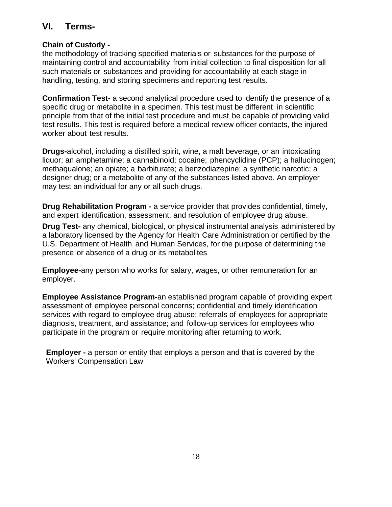## **VI. Terms-**

### **Chain of Custody -**

the methodology of tracking specified materials or substances for the purpose of maintaining control and accountability from initial collection to final disposition for all such materials or substances and providing for accountability at each stage in handling, testing, and storing specimens and reporting test results.

**Confirmation Test-** a second analytical procedure used to identify the presence of a specific drug or metabolite in a specimen. This test must be different in scientific principle from that of the initial test procedure and must be capable of providing valid test results. This test is required before a medical review officer contacts, the injured worker about test results.

**Drugs-**alcohol, including a distilled spirit, wine, a malt beverage, or an intoxicating liquor; an amphetamine; a cannabinoid; cocaine; phencyclidine (PCP); a hallucinogen; methaqualone; an opiate; a barbiturate; a benzodiazepine; a synthetic narcotic; a designer drug; or a metabolite of any of the substances listed above. An employer may test an individual for any or all such drugs.

**Drug Rehabilitation Program -** a service provider that provides confidential, timely, and expert identification, assessment, and resolution of employee drug abuse.

**Drug Test-** any chemical, biological, or physical instrumental analysis administered by a laboratory licensed by the Agency for Health Care Administration or certified by the U.S. Department of Health and Human Services, for the purpose of determining the presence or absence of a drug or its metabolites

**Employee-**any person who works for salary, wages, or other remuneration for an employer.

**Employee Assistance Program-**an established program capable of providing expert assessment of employee personal concerns; confidential and timely identification services with regard to employee drug abuse; referrals of employees for appropriate diagnosis, treatment, and assistance; and follow-up services for employees who participate in the program or require monitoring after returning to work.

**Employer -** a person or entity that employs a person and that is covered by the Workers' Compensation Law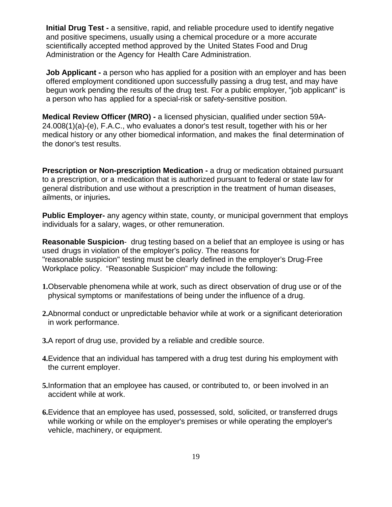**Initial Drug Test -** a sensitive, rapid, and reliable procedure used to identify negative and positive specimens, usually using a chemical procedure or a more accurate scientifically accepted method approved by the United States Food and Drug Administration or the Agency for Health Care Administration.

**Job Applicant -** a person who has applied for a position with an employer and has been offered employment conditioned upon successfully passing a drug test, and may have begun work pending the results of the drug test. For a public employer, "job applicant" is a person who has applied for a special-risk or safety-sensitive position.

**Medical Review Officer (MRO) -** a licensed physician, qualified under section 59A-24.008(1)(a)-(e), F.A.C., who evaluates a donor's test result, together with his or her medical history or any other biomedical information, and makes the final determination of the donor's test results.

**Prescription or Non-prescription Medication -** a drug or medication obtained pursuant to a prescription, or a medication that is authorized pursuant to federal or state law for general distribution and use without a prescription in the treatment of human diseases, ailments, or injuries**.**

**Public Employer-** any agency within state, county, or municipal government that employs individuals for a salary, wages, or other remuneration.

**Reasonable Suspicion**- drug testing based on a belief that an employee is using or has used drugs in violation of the employer's policy. The reasons for "reasonable suspicion" testing must be clearly defined in the employer's Drug-Free Workplace policy. "Reasonable Suspicion" may include the following:

- **1.**Observable phenomena while at work, such as direct observation of drug use or of the physical symptoms or manifestations of being under the influence of a drug.
- **2.**Abnormal conduct or unpredictable behavior while at work or a significant deterioration in work performance.
- **3.**A report of drug use, provided by a reliable and credible source.
- **4.**Evidence that an individual has tampered with a drug test during his employment with the current employer.
- **5.**Information that an employee has caused, or contributed to, or been involved in an accident while at work.
- **6.**Evidence that an employee has used, possessed, sold, solicited, or transferred drugs while working or while on the employer's premises or while operating the employer's vehicle, machinery, or equipment.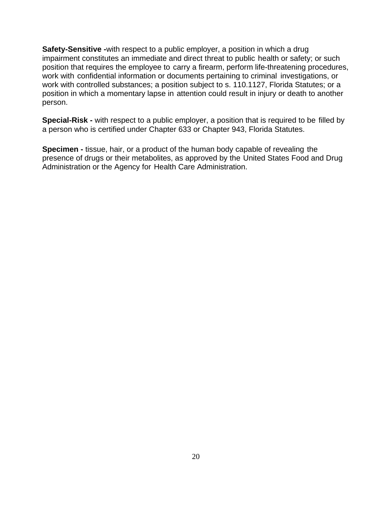**Safety-Sensitive -**with respect to a public employer, a position in which a drug impairment constitutes an immediate and direct threat to public health or safety; or such position that requires the employee to carry a firearm, perform life-threatening procedures, work with confidential information or documents pertaining to criminal investigations, or work with controlled substances; a position subject to s. 110.1127, Florida Statutes; or a position in which a momentary lapse in attention could result in injury or death to another person.

**Special-Risk -** with respect to a public employer, a position that is required to be filled by a person who is certified under Chapter 633 or Chapter 943, Florida Statutes.

**Specimen -** tissue, hair, or a product of the human body capable of revealing the presence of drugs or their metabolites, as approved by the United States Food and Drug Administration or the Agency for Health Care Administration.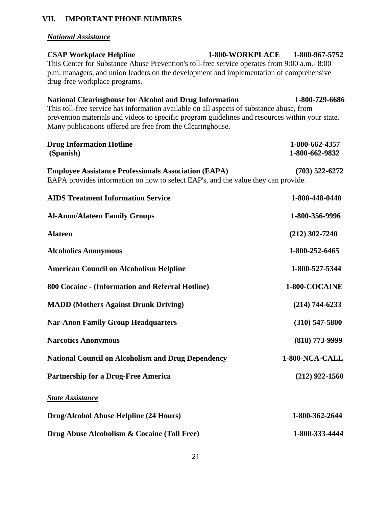### **VII. IMPORTANT PHONE NUMBERS**

## *National Assistance*

| <b>CSAP Workplace Helpline</b>                                                                | 1-800-WORKPLACE | 1-800-967-5752 |
|-----------------------------------------------------------------------------------------------|-----------------|----------------|
| This Center for Substance Abuse Prevention's toll-free service operates from 9:00 a.m. - 8:00 |                 |                |
| p.m. managers, and union leaders on the development and implementation of comprehensive       |                 |                |
| drug-free workplace programs.                                                                 |                 |                |

| <b>National Clearinghouse for Alcohol and Drug Information</b>                                  | 1-800-729-6686     |
|-------------------------------------------------------------------------------------------------|--------------------|
| This toll-free service has information available on all aspects of substance abuse, from        |                    |
| prevention materials and videos to specific program guidelines and resources within your state. |                    |
| Many publications offered are free from the Clearinghouse.                                      |                    |
| <b>Drug Information Hotline</b>                                                                 | 1-800-662-4357     |
| (Spanish)                                                                                       | 1-800-662-9832     |
|                                                                                                 |                    |
| <b>Employee Assistance Professionals Association (EAPA)</b>                                     | $(703)$ 522-6272   |
| EAPA provides information on how to select EAP's, and the value they can provide.               |                    |
| <b>AIDS Treatment Information Service</b>                                                       | 1-800-448-0440     |
| <b>Al-Anon/Alateen Family Groups</b>                                                            | 1-800-356-9996     |
|                                                                                                 |                    |
| <b>Alateen</b>                                                                                  | $(212)$ 302-7240   |
| <b>Alcoholics Anonymous</b>                                                                     | 1-800-252-6465     |
|                                                                                                 |                    |
| <b>American Council on Alcoholism Helpline</b>                                                  | 1-800-527-5344     |
| 800 Cocaine - (Information and Referral Hotline)                                                | 1-800-COCAINE      |
|                                                                                                 |                    |
| <b>MADD</b> (Mothers Against Drunk Driving)                                                     | $(214) 744 - 6233$ |
| <b>Nar-Anon Family Group Headquarters</b>                                                       | $(310)$ 547-5800   |
| <b>Narcotics Anonymous</b>                                                                      | $(818)$ 773-9999   |
|                                                                                                 |                    |
| <b>National Council on Alcoholism and Drug Dependency</b>                                       | 1-800-NCA-CALL     |
| <b>Partnership for a Drug-Free America</b>                                                      | $(212)$ 922-1560   |
|                                                                                                 |                    |
| <b>State Assistance</b>                                                                         |                    |
| <b>Drug/Alcohol Abuse Helpline (24 Hours)</b>                                                   | 1-800-362-2644     |
|                                                                                                 |                    |
| Drug Abuse Alcoholism & Cocaine (Toll Free)                                                     | 1-800-333-4444     |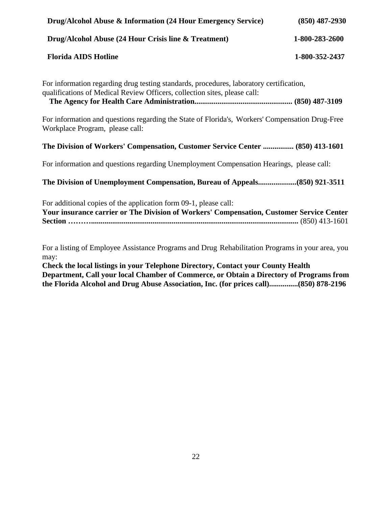| Drug/Alcohol Abuse & Information (24 Hour Emergency Service)                                                                                                         | $(850)$ 487-2930 |
|----------------------------------------------------------------------------------------------------------------------------------------------------------------------|------------------|
| Drug/Alcohol Abuse (24 Hour Crisis line & Treatment)                                                                                                                 | 1-800-283-2600   |
| <b>Florida AIDS Hotline</b>                                                                                                                                          | 1-800-352-2437   |
| For information regarding drug testing standards, procedures, laboratory certification,<br>qualifications of Medical Review Officers, collection sites, please call: |                  |
| For information and questions regarding the State of Florida's, Workers' Compensation Drug-Free<br>Workplace Program, please call:                                   |                  |
| The Division of Workers' Compensation, Customer Service Center  (850) 413-1601                                                                                       |                  |
| For information and questions regarding Unemployment Compensation Hearings, please call:                                                                             |                  |
| The Division of Unemployment Compensation, Bureau of Appeals(850) 921-3511                                                                                           |                  |
| For additional copies of the application form 09-1, please call:<br>Your insurance carrier or The Division of Workers' Compensation, Customer Service Center         |                  |
| For a listing of Employee Assistance Programs and Drug Rehabilitation Programs in your area, you<br>may:                                                             |                  |

**Check the local listings in your Telephone Directory, Contact your County Health Department, Call your local Chamber of Commerce, or Obtain a Directory of Programs from the Florida Alcohol and Drug Abuse Association, Inc. (for prices call)...............(850) 878-2196**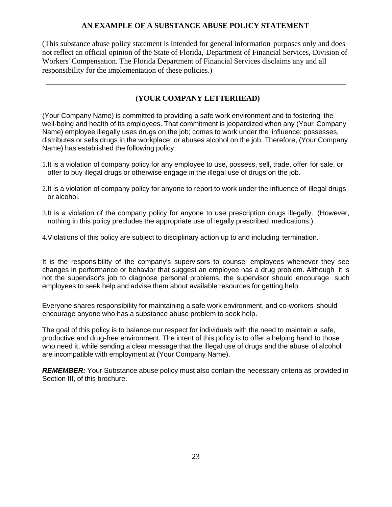#### **AN EXAMPLE OF A SUBSTANCE ABUSE POLICY STATEMENT**

(This substance abuse policy statement is intended for general information purposes only and does not reflect an official opinion of the State of Florida, Department of Financial Services, Division of Workers' Compensation. The Florida Department of Financial Services disclaims any and all responsibility for the implementation of these policies.)

#### **(YOUR COMPANY LETTERHEAD)**

(Your Company Name) is committed to providing a safe work environment and to fostering the well-being and health of its employees. That commitment is jeopardized when any (Your Company Name) employee illegally uses drugs on the job; comes to work under the influence; possesses, distributes or sells drugs in the workplace; or abuses alcohol on the job. Therefore, (Your Company Name) has established the following policy:

- 1.It is a violation of company policy for any employee to use, possess, sell, trade, offer for sale, or offer to buy illegal drugs or otherwise engage in the illegal use of drugs on the job.
- 2.It is a violation of company policy for anyone to report to work under the influence of illegal drugs or alcohol.
- 3.It is a violation of the company policy for anyone to use prescription drugs illegally. (However, nothing in this policy precludes the appropriate use of legally prescribed medications.)
- 4.Violations of this policy are subject to disciplinary action up to and including termination.

It is the responsibility of the company's supervisors to counsel employees whenever they see changes in performance or behavior that suggest an employee has a drug problem. Although it is not the supervisor's job to diagnose personal problems, the supervisor should encourage such employees to seek help and advise them about available resources for getting help.

Everyone shares responsibility for maintaining a safe work environment, and co-workers should encourage anyone who has a substance abuse problem to seek help.

The goal of this policy is to balance our respect for individuals with the need to maintain a safe, productive and drug-free environment. The intent of this policy is to offer a helping hand to those who need it, while sending a clear message that the illegal use of drugs and the abuse of alcohol are incompatible with employment at (Your Company Name).

**REMEMBER:** Your Substance abuse policy must also contain the necessary criteria as provided in Section III, of this brochure.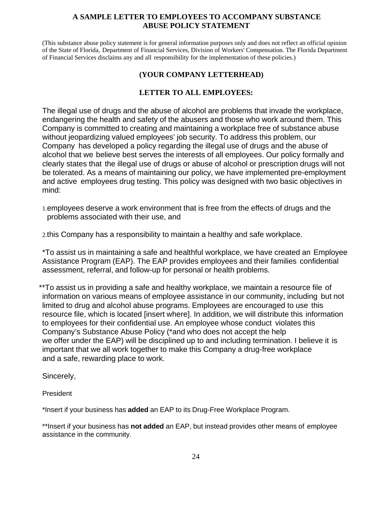#### **A SAMPLE LETTER TO EMPLOYEES TO ACCOMPANY SUBSTANCE ABUSE POLICY STATEMENT**

(This substance abuse policy statement is for general information purposes only and does not reflect an official opinion of the State of Florida, Department of Financial Services, Division of Workers' Compensation. The Florida Department of Financial Services disclaims any and all responsibility for the implementation of these policies.)

### **(YOUR COMPANY LETTERHEAD)**

### **LETTER TO ALL EMPLOYEES:**

The illegal use of drugs and the abuse of alcohol are problems that invade the workplace, endangering the health and safety of the abusers and those who work around them. This Company is committed to creating and maintaining a workplace free of substance abuse without jeopardizing valued employees' job security. To address this problem, our Company has developed a policy regarding the illegal use of drugs and the abuse of alcohol that we believe best serves the interests of all employees. Our policy formally and clearly states that the illegal use of drugs or abuse of alcohol or prescription drugs will not be tolerated. As a means of maintaining our policy, we have implemented pre-employment and active employees drug testing. This policy was designed with two basic objectives in mind:

1.employees deserve a work environment that is free from the effects of drugs and the problems associated with their use, and

2.this Company has a responsibility to maintain a healthy and safe workplace.

\*To assist us in maintaining a safe and healthful workplace, we have created an Employee Assistance Program (EAP). The EAP provides employees and their families confidential assessment, referral, and follow-up for personal or health problems.

\*\*To assist us in providing a safe and healthy workplace, we maintain a resource file of information on various means of employee assistance in our community, including but not limited to drug and alcohol abuse programs. Employees are encouraged to use this resource file, which is located [insert where]. In addition, we will distribute this information to employees for their confidential use. An employee whose conduct violates this Company's Substance Abuse Policy (\*and who does not accept the help we offer under the EAP) will be disciplined up to and including termination. I believe it is important that we all work together to make this Company a drug-free workplace and a safe, rewarding place to work.

Sincerely,

President

\*Insert if your business has **added** an EAP to its Drug-Free Workplace Program.

\*\*Insert if your business has **not added** an EAP, but instead provides other means of employee assistance in the community.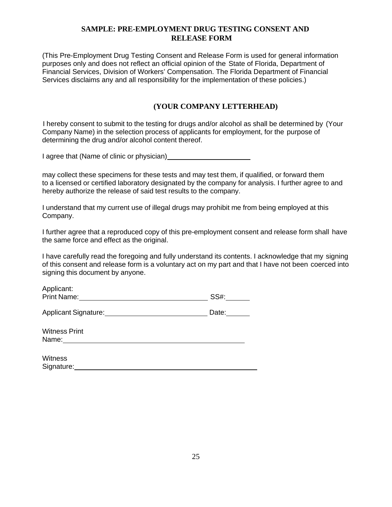#### **SAMPLE: PRE-EMPLOYMENT DRUG TESTING CONSENT AND RELEASE FORM**

(This Pre-Employment Drug Testing Consent and Release Form is used for general information purposes only and does not reflect an official opinion of the State of Florida, Department of Financial Services, Division of Workers' Compensation. The Florida Department of Financial Services disclaims any and all responsibility for the implementation of these policies.)

#### **(YOUR COMPANY LETTERHEAD)**

I hereby consent to submit to the testing for drugs and/or alcohol as shall be determined by (Your Company Name) in the selection process of applicants for employment, for the purpose of determining the drug and/or alcohol content thereof.

I agree that (Name of clinic or physician)

may collect these specimens for these tests and may test them, if qualified, or forward them to a licensed or certified laboratory designated by the company for analysis. I further agree to and hereby authorize the release of said test results to the company.

I understand that my current use of illegal drugs may prohibit me from being employed at this Company.

I further agree that a reproduced copy of this pre-employment consent and release form shall have the same force and effect as the original.

I have carefully read the foregoing and fully understand its contents. I acknowledge that my signing of this consent and release form is a voluntary act on my part and that I have not been coerced into signing this document by anyone.

| Applicant:<br><b>Print Name:</b> | $SS#$ : |
|----------------------------------|---------|
| Applicant Signature:             | Date:   |
| <b>Witness Print</b><br>Name:    |         |

| <b>Witness</b> |  |  |
|----------------|--|--|
| Signature:     |  |  |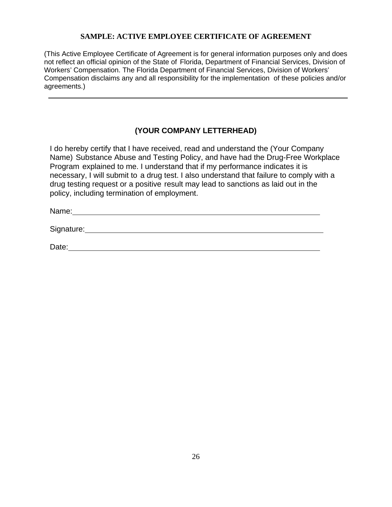#### **SAMPLE: ACTIVE EMPLOYEE CERTIFICATE OF AGREEMENT**

(This Active Employee Certificate of Agreement is for general information purposes only and does not reflect an official opinion of the State of Florida, Department of Financial Services, Division of Workers' Compensation. The Florida Department of Financial Services, Division of Workers' Compensation disclaims any and all responsibility for the implementation of these policies and/or agreements.)

### **(YOUR COMPANY LETTERHEAD)**

I do hereby certify that I have received, read and understand the (Your Company Name) Substance Abuse and Testing Policy, and have had the Drug-Free Workplace Program explained to me. I understand that if my performance indicates it is necessary, I will submit to a drug test. I also understand that failure to comply with a drug testing request or a positive result may lead to sanctions as laid out in the policy, including termination of employment.

Name: 2008. 2009. 2009. 2009. 2010. 2010. 2010. 2010. 2010. 2010. 2010. 2010. 2010. 2010. 2010. 2010. 2010. 20

Signature:

Date: the contract of the contract of the contract of the contract of the contract of the contract of the contract of the contract of the contract of the contract of the contract of the contract of the contract of the cont